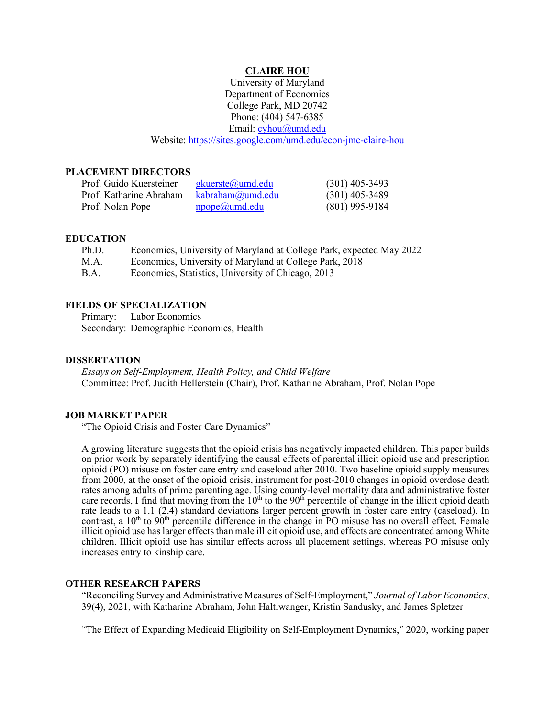#### **CLAIRE HOU**

University of Maryland Department of Economics College Park, MD 20742 Phone: (404) 547-6385 Email: [cyhou@umd.edu](mailto:cyhou@umd.edu) Website:<https://sites.google.com/umd.edu/econ-jmc-claire-hou>

#### **PLACEMENT DIRECTORS**

| Prof. Guido Kuersteiner | gkuerste@umd.edu          | $(301)$ 405-3493 |
|-------------------------|---------------------------|------------------|
| Prof. Katharine Abraham | kabraham(a)umd.edu        | $(301)$ 405-3489 |
| Prof. Nolan Pope        | $\text{npope}(a)$ umd.edu | $(801)$ 995-9184 |

#### **EDUCATION**

| Ph.D.       | Economics, University of Maryland at College Park, expected May 2022 |
|-------------|----------------------------------------------------------------------|
| M.A.        | Economics, University of Maryland at College Park, 2018              |
| <b>B.A.</b> | Economics, Statistics, University of Chicago, 2013                   |

# **FIELDS OF SPECIALIZATION**

Primary: Labor Economics Secondary: Demographic Economics, Health

## **DISSERTATION**

*Essays on Self-Employment, Health Policy, and Child Welfare* Committee: Prof. Judith Hellerstein (Chair), Prof. Katharine Abraham, Prof. Nolan Pope

## **JOB MARKET PAPER**

"The Opioid Crisis and Foster Care Dynamics"

A growing literature suggests that the opioid crisis has negatively impacted children. This paper builds on prior work by separately identifying the causal effects of parental illicit opioid use and prescription opioid (PO) misuse on foster care entry and caseload after 2010. Two baseline opioid supply measures from 2000, at the onset of the opioid crisis, instrument for post-2010 changes in opioid overdose death rates among adults of prime parenting age. Using county-level mortality data and administrative foster care records, I find that moving from the  $10<sup>th</sup>$  to the  $90<sup>th</sup>$  percentile of change in the illicit opioid death rate leads to a 1.1 (2.4) standard deviations larger percent growth in foster care entry (caseload). In contrast, a  $10<sup>th</sup>$  to  $90<sup>th</sup>$  percentile difference in the change in PO misuse has no overall effect. Female illicit opioid use has larger effects than male illicit opioid use, and effects are concentrated among White children. Illicit opioid use has similar effects across all placement settings, whereas PO misuse only increases entry to kinship care.

#### **OTHER RESEARCH PAPERS**

"Reconciling Survey and Administrative Measures of Self-Employment," *Journal of Labor Economics*, 39(4), 2021, with Katharine Abraham, John Haltiwanger, Kristin Sandusky, and James Spletzer

"The Effect of Expanding Medicaid Eligibility on Self-Employment Dynamics," 2020, working paper